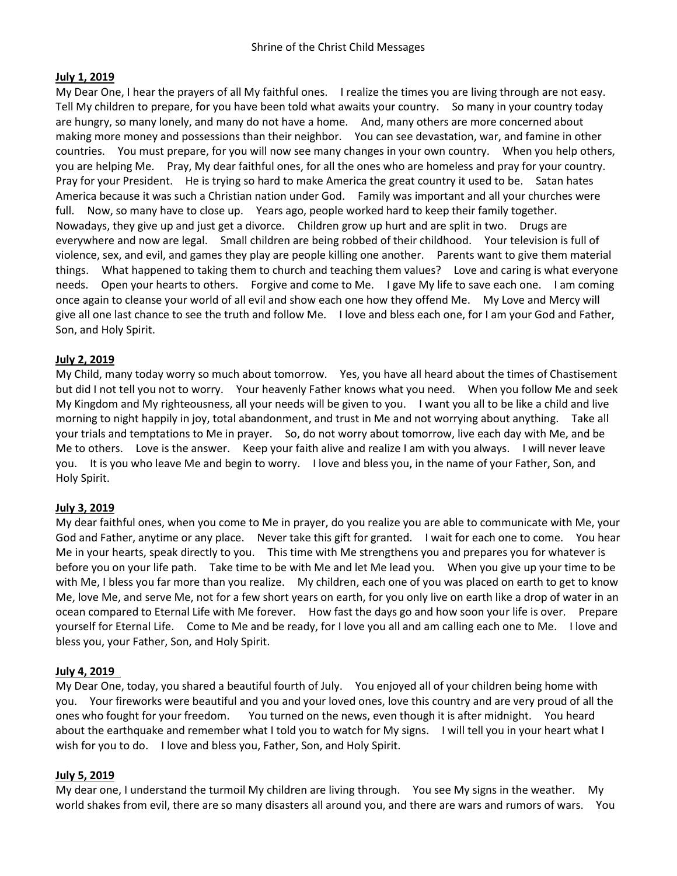## **July 1, 2019**

My Dear One, I hear the prayers of all My faithful ones. I realize the times you are living through are not easy. Tell My children to prepare, for you have been told what awaits your country. So many in your country today are hungry, so many lonely, and many do not have a home. And, many others are more concerned about making more money and possessions than their neighbor. You can see devastation, war, and famine in other countries. You must prepare, for you will now see many changes in your own country. When you help others, you are helping Me. Pray, My dear faithful ones, for all the ones who are homeless and pray for your country. Pray for your President. He is trying so hard to make America the great country it used to be. Satan hates America because it was such a Christian nation under God. Family was important and all your churches were full. Now, so many have to close up. Years ago, people worked hard to keep their family together. Nowadays, they give up and just get a divorce. Children grow up hurt and are split in two. Drugs are everywhere and now are legal. Small children are being robbed of their childhood. Your television is full of violence, sex, and evil, and games they play are people killing one another. Parents want to give them material things. What happened to taking them to church and teaching them values? Love and caring is what everyone needs. Open your hearts to others. Forgive and come to Me. I gave My life to save each one. I am coming once again to cleanse your world of all evil and show each one how they offend Me. My Love and Mercy will give all one last chance to see the truth and follow Me. I love and bless each one, for I am your God and Father, Son, and Holy Spirit.

## **July 2, 2019**

My Child, many today worry so much about tomorrow. Yes, you have all heard about the times of Chastisement but did I not tell you not to worry. Your heavenly Father knows what you need. When you follow Me and seek My Kingdom and My righteousness, all your needs will be given to you. I want you all to be like a child and live morning to night happily in joy, total abandonment, and trust in Me and not worrying about anything. Take all your trials and temptations to Me in prayer. So, do not worry about tomorrow, live each day with Me, and be Me to others. Love is the answer. Keep your faith alive and realize I am with you always. I will never leave you. It is you who leave Me and begin to worry. I love and bless you, in the name of your Father, Son, and Holy Spirit.

### **July 3, 2019**

My dear faithful ones, when you come to Me in prayer, do you realize you are able to communicate with Me, your God and Father, anytime or any place. Never take this gift for granted. I wait for each one to come. You hear Me in your hearts, speak directly to you. This time with Me strengthens you and prepares you for whatever is before you on your life path. Take time to be with Me and let Me lead you. When you give up your time to be with Me, I bless you far more than you realize. My children, each one of you was placed on earth to get to know Me, love Me, and serve Me, not for a few short years on earth, for you only live on earth like a drop of water in an ocean compared to Eternal Life with Me forever. How fast the days go and how soon your life is over. Prepare yourself for Eternal Life. Come to Me and be ready, for I love you all and am calling each one to Me. I love and bless you, your Father, Son, and Holy Spirit.

### **July 4, 2019**

My Dear One, today, you shared a beautiful fourth of July. You enjoyed all of your children being home with you. Your fireworks were beautiful and you and your loved ones, love this country and are very proud of all the ones who fought for your freedom. You turned on the news, even though it is after midnight. You heard about the earthquake and remember what I told you to watch for My signs. I will tell you in your heart what I wish for you to do. I love and bless you, Father, Son, and Holy Spirit.

### **July 5, 2019**

My dear one, I understand the turmoil My children are living through. You see My signs in the weather. My world shakes from evil, there are so many disasters all around you, and there are wars and rumors of wars. You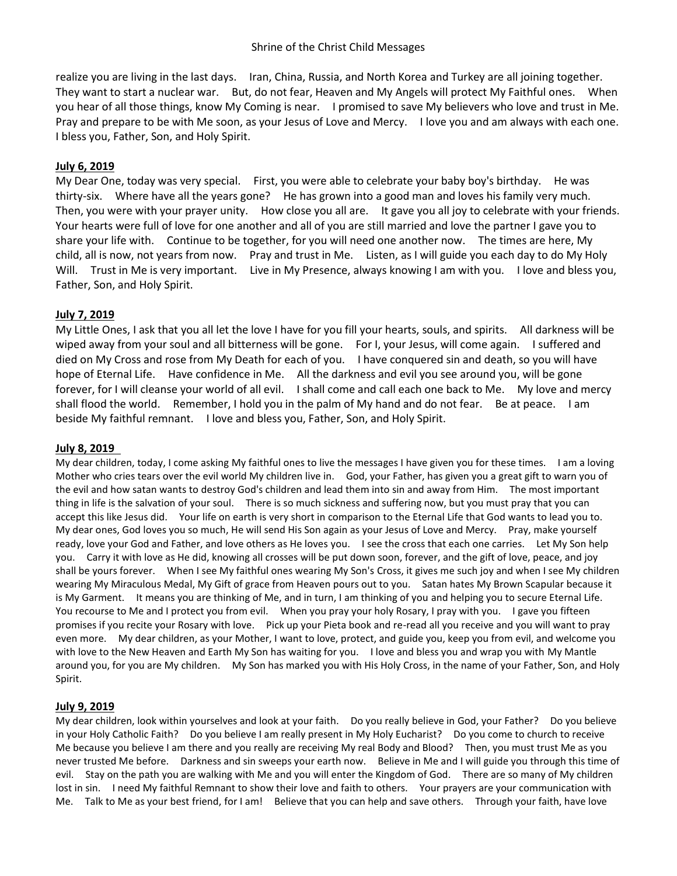realize you are living in the last days. Iran, China, Russia, and North Korea and Turkey are all joining together. They want to start a nuclear war. But, do not fear, Heaven and My Angels will protect My Faithful ones. When you hear of all those things, know My Coming is near. I promised to save My believers who love and trust in Me. Pray and prepare to be with Me soon, as your Jesus of Love and Mercy. I love you and am always with each one. I bless you, Father, Son, and Holy Spirit.

### **July 6, 2019**

My Dear One, today was very special. First, you were able to celebrate your baby boy's birthday. He was thirty-six. Where have all the years gone? He has grown into a good man and loves his family very much. Then, you were with your prayer unity. How close you all are. It gave you all joy to celebrate with your friends. Your hearts were full of love for one another and all of you are still married and love the partner I gave you to share your life with. Continue to be together, for you will need one another now. The times are here, My child, all is now, not years from now. Pray and trust in Me. Listen, as I will guide you each day to do My Holy Will. Trust in Me is very important. Live in My Presence, always knowing I am with you. I love and bless you, Father, Son, and Holy Spirit.

## **July 7, 2019**

My Little Ones, I ask that you all let the love I have for you fill your hearts, souls, and spirits. All darkness will be wiped away from your soul and all bitterness will be gone. For I, your Jesus, will come again. I suffered and died on My Cross and rose from My Death for each of you. I have conquered sin and death, so you will have hope of Eternal Life. Have confidence in Me. All the darkness and evil you see around you, will be gone forever, for I will cleanse your world of all evil. I shall come and call each one back to Me. My love and mercy shall flood the world. Remember, I hold you in the palm of My hand and do not fear. Be at peace. I am beside My faithful remnant. I love and bless you, Father, Son, and Holy Spirit.

### **July 8, 2019**

My dear children, today, I come asking My faithful ones to live the messages I have given you for these times. I am a loving Mother who cries tears over the evil world My children live in. God, your Father, has given you a great gift to warn you of the evil and how satan wants to destroy God's children and lead them into sin and away from Him. The most important thing in life is the salvation of your soul. There is so much sickness and suffering now, but you must pray that you can accept this like Jesus did. Your life on earth is very short in comparison to the Eternal Life that God wants to lead you to. My dear ones, God loves you so much, He will send His Son again as your Jesus of Love and Mercy. Pray, make yourself ready, love your God and Father, and love others as He loves you. I see the cross that each one carries. Let My Son help you. Carry it with love as He did, knowing all crosses will be put down soon, forever, and the gift of love, peace, and joy shall be yours forever. When I see My faithful ones wearing My Son's Cross, it gives me such joy and when I see My children wearing My Miraculous Medal, My Gift of grace from Heaven pours out to you. Satan hates My Brown Scapular because it is My Garment. It means you are thinking of Me, and in turn, I am thinking of you and helping you to secure Eternal Life. You recourse to Me and I protect you from evil. When you pray your holy Rosary, I pray with you. I gave you fifteen promises if you recite your Rosary with love. Pick up your Pieta book and re-read all you receive and you will want to pray even more. My dear children, as your Mother, I want to love, protect, and guide you, keep you from evil, and welcome you with love to the New Heaven and Earth My Son has waiting for you. I love and bless you and wrap you with My Mantle around you, for you are My children. My Son has marked you with His Holy Cross, in the name of your Father, Son, and Holy Spirit.

### **July 9, 2019**

My dear children, look within yourselves and look at your faith. Do you really believe in God, your Father? Do you believe in your Holy Catholic Faith? Do you believe I am really present in My Holy Eucharist? Do you come to church to receive Me because you believe I am there and you really are receiving My real Body and Blood? Then, you must trust Me as you never trusted Me before. Darkness and sin sweeps your earth now. Believe in Me and I will guide you through this time of evil. Stay on the path you are walking with Me and you will enter the Kingdom of God. There are so many of My children lost in sin. I need My faithful Remnant to show their love and faith to others. Your prayers are your communication with Me. Talk to Me as your best friend, for I am! Believe that you can help and save others. Through your faith, have love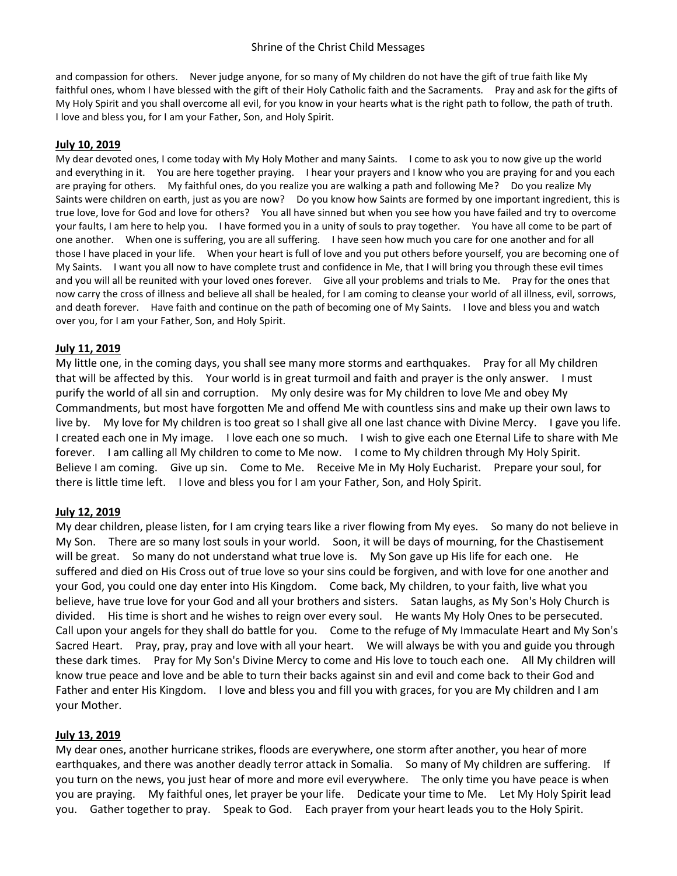and compassion for others. Never judge anyone, for so many of My children do not have the gift of true faith like My faithful ones, whom I have blessed with the gift of their Holy Catholic faith and the Sacraments. Pray and ask for the gifts of My Holy Spirit and you shall overcome all evil, for you know in your hearts what is the right path to follow, the path of truth. I love and bless you, for I am your Father, Son, and Holy Spirit.

#### **July 10, 2019**

My dear devoted ones, I come today with My Holy Mother and many Saints. I come to ask you to now give up the world and everything in it. You are here together praying. I hear your prayers and I know who you are praying for and you each are praying for others. My faithful ones, do you realize you are walking a path and following Me? Do you realize My Saints were children on earth, just as you are now? Do you know how Saints are formed by one important ingredient, this is true love, love for God and love for others? You all have sinned but when you see how you have failed and try to overcome your faults, I am here to help you. I have formed you in a unity of souls to pray together. You have all come to be part of one another. When one is suffering, you are all suffering. I have seen how much you care for one another and for all those I have placed in your life. When your heart is full of love and you put others before yourself, you are becoming one of My Saints. I want you all now to have complete trust and confidence in Me, that I will bring you through these evil times and you will all be reunited with your loved ones forever. Give all your problems and trials to Me. Pray for the ones that now carry the cross of illness and believe all shall be healed, for I am coming to cleanse your world of all illness, evil, sorrows, and death forever. Have faith and continue on the path of becoming one of My Saints. I love and bless you and watch over you, for I am your Father, Son, and Holy Spirit.

### **July 11, 2019**

My little one, in the coming days, you shall see many more storms and earthquakes. Pray for all My children that will be affected by this. Your world is in great turmoil and faith and prayer is the only answer. I must purify the world of all sin and corruption. My only desire was for My children to love Me and obey My Commandments, but most have forgotten Me and offend Me with countless sins and make up their own laws to live by. My love for My children is too great so I shall give all one last chance with Divine Mercy. I gave you life. I created each one in My image. I love each one so much. I wish to give each one Eternal Life to share with Me forever. I am calling all My children to come to Me now. I come to My children through My Holy Spirit. Believe I am coming. Give up sin. Come to Me. Receive Me in My Holy Eucharist. Prepare your soul, for there is little time left. I love and bless you for I am your Father, Son, and Holy Spirit.

#### **July 12, 2019**

My dear children, please listen, for I am crying tears like a river flowing from My eyes. So many do not believe in My Son. There are so many lost souls in your world. Soon, it will be days of mourning, for the Chastisement will be great. So many do not understand what true love is. My Son gave up His life for each one. He suffered and died on His Cross out of true love so your sins could be forgiven, and with love for one another and your God, you could one day enter into His Kingdom. Come back, My children, to your faith, live what you believe, have true love for your God and all your brothers and sisters. Satan laughs, as My Son's Holy Church is divided. His time is short and he wishes to reign over every soul. He wants My Holy Ones to be persecuted. Call upon your angels for they shall do battle for you. Come to the refuge of My Immaculate Heart and My Son's Sacred Heart. Pray, pray, pray and love with all your heart. We will always be with you and guide you through these dark times. Pray for My Son's Divine Mercy to come and His love to touch each one. All My children will know true peace and love and be able to turn their backs against sin and evil and come back to their God and Father and enter His Kingdom. I love and bless you and fill you with graces, for you are My children and I am your Mother.

#### **July 13, 2019**

My dear ones, another hurricane strikes, floods are everywhere, one storm after another, you hear of more earthquakes, and there was another deadly terror attack in Somalia. So many of My children are suffering. If you turn on the news, you just hear of more and more evil everywhere. The only time you have peace is when you are praying. My faithful ones, let prayer be your life. Dedicate your time to Me. Let My Holy Spirit lead you. Gather together to pray. Speak to God. Each prayer from your heart leads you to the Holy Spirit.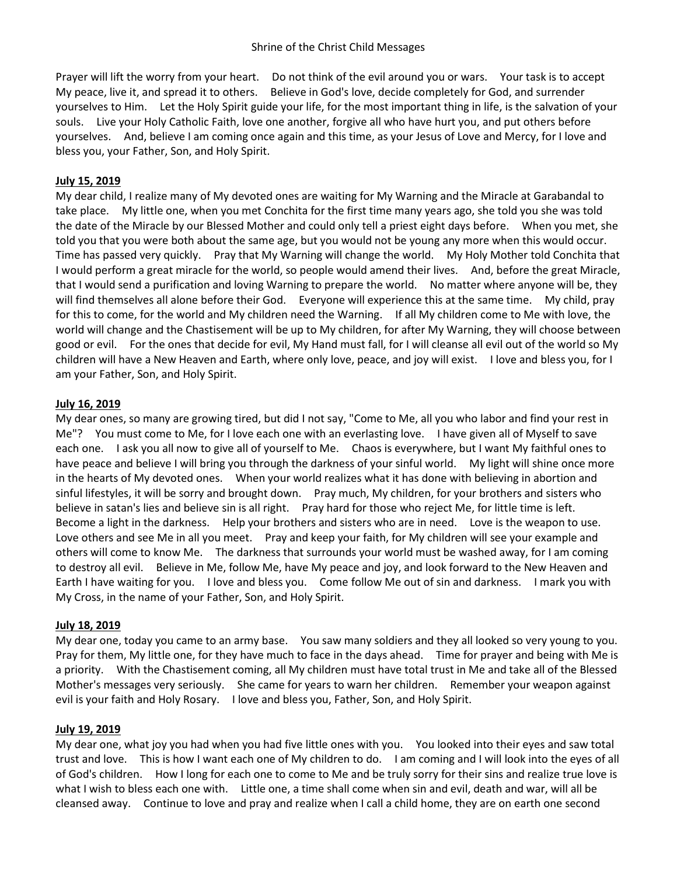Prayer will lift the worry from your heart. Do not think of the evil around you or wars. Your task is to accept My peace, live it, and spread it to others. Believe in God's love, decide completely for God, and surrender yourselves to Him. Let the Holy Spirit guide your life, for the most important thing in life, is the salvation of your souls. Live your Holy Catholic Faith, love one another, forgive all who have hurt you, and put others before yourselves. And, believe I am coming once again and this time, as your Jesus of Love and Mercy, for I love and bless you, your Father, Son, and Holy Spirit.

## **July 15, 2019**

My dear child, I realize many of My devoted ones are waiting for My Warning and the Miracle at Garabandal to take place. My little one, when you met Conchita for the first time many years ago, she told you she was told the date of the Miracle by our Blessed Mother and could only tell a priest eight days before. When you met, she told you that you were both about the same age, but you would not be young any more when this would occur. Time has passed very quickly. Pray that My Warning will change the world. My Holy Mother told Conchita that I would perform a great miracle for the world, so people would amend their lives. And, before the great Miracle, that I would send a purification and loving Warning to prepare the world. No matter where anyone will be, they will find themselves all alone before their God. Everyone will experience this at the same time. My child, pray for this to come, for the world and My children need the Warning. If all My children come to Me with love, the world will change and the Chastisement will be up to My children, for after My Warning, they will choose between good or evil. For the ones that decide for evil, My Hand must fall, for I will cleanse all evil out of the world so My children will have a New Heaven and Earth, where only love, peace, and joy will exist. I love and bless you, for I am your Father, Son, and Holy Spirit.

## **July 16, 2019**

My dear ones, so many are growing tired, but did I not say, "Come to Me, all you who labor and find your rest in Me"? You must come to Me, for I love each one with an everlasting love. I have given all of Myself to save each one. I ask you all now to give all of yourself to Me. Chaos is everywhere, but I want My faithful ones to have peace and believe I will bring you through the darkness of your sinful world. My light will shine once more in the hearts of My devoted ones. When your world realizes what it has done with believing in abortion and sinful lifestyles, it will be sorry and brought down. Pray much, My children, for your brothers and sisters who believe in satan's lies and believe sin is all right. Pray hard for those who reject Me, for little time is left. Become a light in the darkness. Help your brothers and sisters who are in need. Love is the weapon to use. Love others and see Me in all you meet. Pray and keep your faith, for My children will see your example and others will come to know Me. The darkness that surrounds your world must be washed away, for I am coming to destroy all evil. Believe in Me, follow Me, have My peace and joy, and look forward to the New Heaven and Earth I have waiting for you. I love and bless you. Come follow Me out of sin and darkness. I mark you with My Cross, in the name of your Father, Son, and Holy Spirit.

### **July 18, 2019**

My dear one, today you came to an army base. You saw many soldiers and they all looked so very young to you. Pray for them, My little one, for they have much to face in the days ahead. Time for prayer and being with Me is a priority. With the Chastisement coming, all My children must have total trust in Me and take all of the Blessed Mother's messages very seriously. She came for years to warn her children. Remember your weapon against evil is your faith and Holy Rosary. I love and bless you, Father, Son, and Holy Spirit.

### **July 19, 2019**

My dear one, what joy you had when you had five little ones with you. You looked into their eyes and saw total trust and love. This is how I want each one of My children to do. I am coming and I will look into the eyes of all of God's children. How I long for each one to come to Me and be truly sorry for their sins and realize true love is what I wish to bless each one with. Little one, a time shall come when sin and evil, death and war, will all be cleansed away. Continue to love and pray and realize when I call a child home, they are on earth one second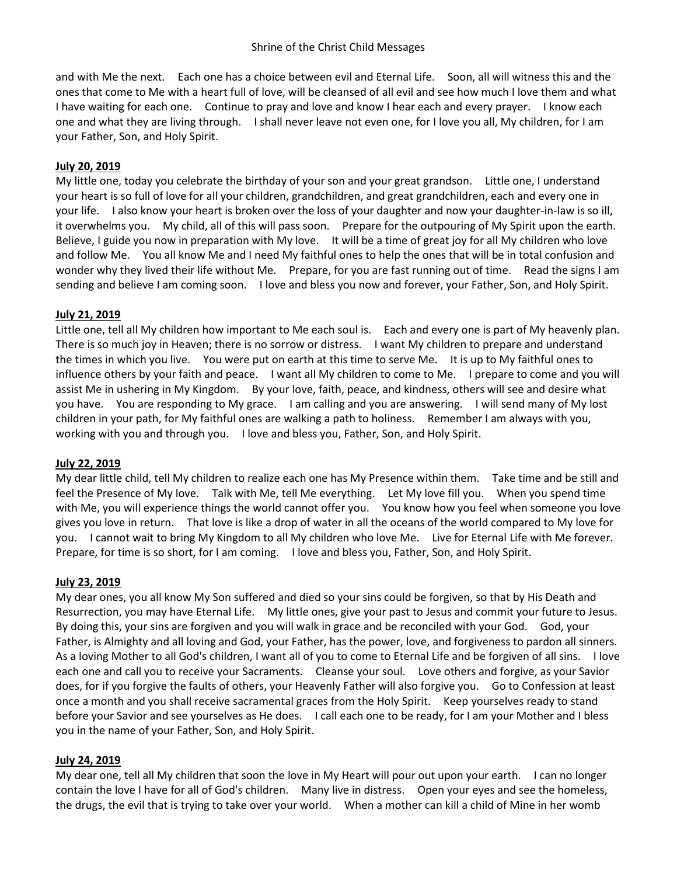and with Me the next. Each one has a choice between evil and Eternal Life. Soon, all will witness this and the ones that come to Me with a heart full of love, will be cleansed of all evil and see how much I love them and what I have waiting for each one. Continue to pray and love and know I hear each and every prayer. I know each one and what they are living through. I shall never leave not even one, for I love you all, My children, for I am your Father, Son, and Holy Spirit.

# **July 20, 2019**

My little one, today you celebrate the birthday of your son and your great grandson. Little one, I understand your heart is so full of love for all your children, grandchildren, and great grandchildren, each and every one in your life. I also know your heart is broken over the loss of your daughter and now your daughter-in-law is so ill, it overwhelms you. My child, all of this will pass soon. Prepare for the outpouring of My Spirit upon the earth. Believe, I guide you now in preparation with My love. It will be a time of great joy for all My children who love and follow Me. You all know Me and I need My faithful ones to help the ones that will be in total confusion and wonder why they lived their life without Me. Prepare, for you are fast running out of time. Read the signs I am sending and believe I am coming soon. I love and bless you now and forever, your Father, Son, and Holy Spirit.

# **July 21, 2019**

Little one, tell all My children how important to Me each soul is. Each and every one is part of My heavenly plan. There is so much joy in Heaven; there is no sorrow or distress. I want My children to prepare and understand the times in which you live. You were put on earth at this time to serve Me. It is up to My faithful ones to influence others by your faith and peace. I want all My children to come to Me. I prepare to come and you will assist Me in ushering in My Kingdom. By your love, faith, peace, and kindness, others will see and desire what you have. You are responding to My grace. I am calling and you are answering. I will send many of My lost children in your path, for My faithful ones are walking a path to holiness. Remember I am always with you, working with you and through you. I love and bless you, Father, Son, and Holy Spirit.

# **July 22, 2019**

My dear little child, tell My children to realize each one has My Presence within them. Take time and be still and feel the Presence of My love. Talk with Me, tell Me everything. Let My love fill you. When you spend time with Me, you will experience things the world cannot offer you. You know how you feel when someone you love gives you love in return. That love is like a drop of water in all the oceans of the world compared to My love for you. I cannot wait to bring My Kingdom to all My children who love Me. Live for Eternal Life with Me forever. Prepare, for time is so short, for I am coming. I love and bless you, Father, Son, and Holy Spirit.

# **July 23, 2019**

My dear ones, you all know My Son suffered and died so your sins could be forgiven, so that by His Death and Resurrection, you may have Eternal Life. My little ones, give your past to Jesus and commit your future to Jesus. By doing this, your sins are forgiven and you will walk in grace and be reconciled with your God. God, your Father, is Almighty and all loving and God, your Father, has the power, love, and forgiveness to pardon all sinners. As a loving Mother to all God's children, I want all of you to come to Eternal Life and be forgiven of all sins. I love each one and call you to receive your Sacraments. Cleanse your soul. Love others and forgive, as your Savior does, for if you forgive the faults of others, your Heavenly Father will also forgive you. Go to Confession at least once a month and you shall receive sacramental graces from the Holy Spirit. Keep yourselves ready to stand before your Savior and see yourselves as He does. I call each one to be ready, for I am your Mother and I bless you in the name of your Father, Son, and Holy Spirit.

# **July 24, 2019**

My dear one, tell all My children that soon the love in My Heart will pour out upon your earth. I can no longer contain the love I have for all of God's children. Many live in distress. Open your eyes and see the homeless, the drugs, the evil that is trying to take over your world. When a mother can kill a child of Mine in her womb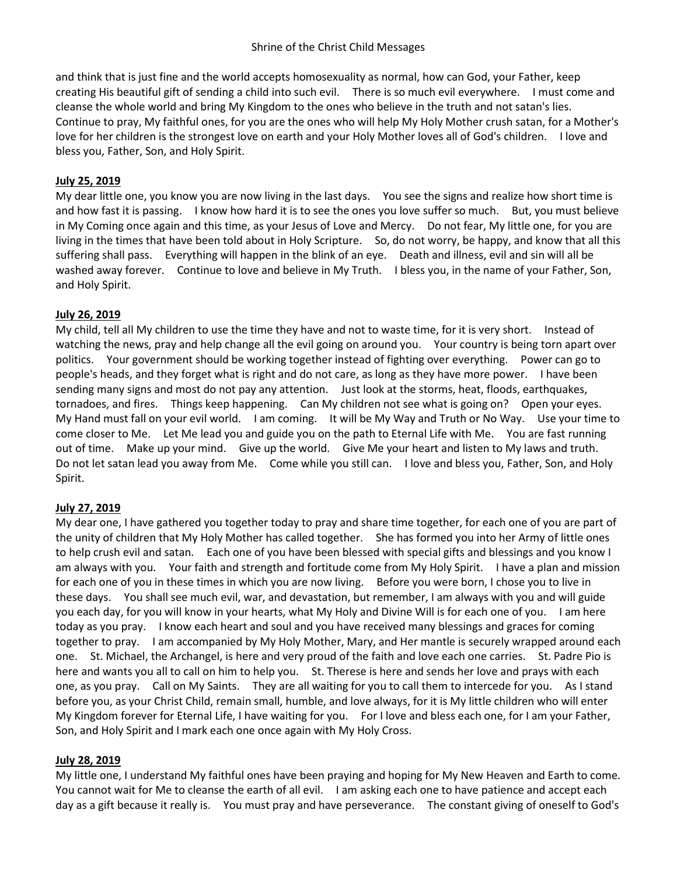and think that is just fine and the world accepts homosexuality as normal, how can God, your Father, keep creating His beautiful gift of sending a child into such evil. There is so much evil everywhere. I must come and cleanse the whole world and bring My Kingdom to the ones who believe in the truth and not satan's lies. Continue to pray, My faithful ones, for you are the ones who will help My Holy Mother crush satan, for a Mother's love for her children is the strongest love on earth and your Holy Mother loves all of God's children. I love and bless you, Father, Son, and Holy Spirit.

## **July 25, 2019**

My dear little one, you know you are now living in the last days. You see the signs and realize how short time is and how fast it is passing. I know how hard it is to see the ones you love suffer so much. But, you must believe in My Coming once again and this time, as your Jesus of Love and Mercy. Do not fear, My little one, for you are living in the times that have been told about in Holy Scripture. So, do not worry, be happy, and know that all this suffering shall pass. Everything will happen in the blink of an eye. Death and illness, evil and sin will all be washed away forever. Continue to love and believe in My Truth. I bless you, in the name of your Father, Son, and Holy Spirit.

## **July 26, 2019**

My child, tell all My children to use the time they have and not to waste time, for it is very short. Instead of watching the news, pray and help change all the evil going on around you. Your country is being torn apart over politics. Your government should be working together instead of fighting over everything. Power can go to people's heads, and they forget what is right and do not care, as long as they have more power. I have been sending many signs and most do not pay any attention. Just look at the storms, heat, floods, earthquakes, tornadoes, and fires. Things keep happening. Can My children not see what is going on? Open your eyes. My Hand must fall on your evil world. I am coming. It will be My Way and Truth or No Way. Use your time to come closer to Me. Let Me lead you and guide you on the path to Eternal Life with Me. You are fast running out of time. Make up your mind. Give up the world. Give Me your heart and listen to My laws and truth. Do not let satan lead you away from Me. Come while you still can. I love and bless you, Father, Son, and Holy Spirit.

### **July 27, 2019**

My dear one, I have gathered you together today to pray and share time together, for each one of you are part of the unity of children that My Holy Mother has called together. She has formed you into her Army of little ones to help crush evil and satan. Each one of you have been blessed with special gifts and blessings and you know I am always with you. Your faith and strength and fortitude come from My Holy Spirit. I have a plan and mission for each one of you in these times in which you are now living. Before you were born, I chose you to live in these days. You shall see much evil, war, and devastation, but remember, I am always with you and will guide you each day, for you will know in your hearts, what My Holy and Divine Will is for each one of you. I am here today as you pray. I know each heart and soul and you have received many blessings and graces for coming together to pray. I am accompanied by My Holy Mother, Mary, and Her mantle is securely wrapped around each one. St. Michael, the Archangel, is here and very proud of the faith and love each one carries. St. Padre Pio is here and wants you all to call on him to help you. St. Therese is here and sends her love and prays with each one, as you pray. Call on My Saints. They are all waiting for you to call them to intercede for you. As I stand before you, as your Christ Child, remain small, humble, and love always, for it is My little children who will enter My Kingdom forever for Eternal Life, I have waiting for you. For I love and bless each one, for I am your Father, Son, and Holy Spirit and I mark each one once again with My Holy Cross.

### **July 28, 2019**

My little one, I understand My faithful ones have been praying and hoping for My New Heaven and Earth to come. You cannot wait for Me to cleanse the earth of all evil. I am asking each one to have patience and accept each day as a gift because it really is. You must pray and have perseverance. The constant giving of oneself to God's